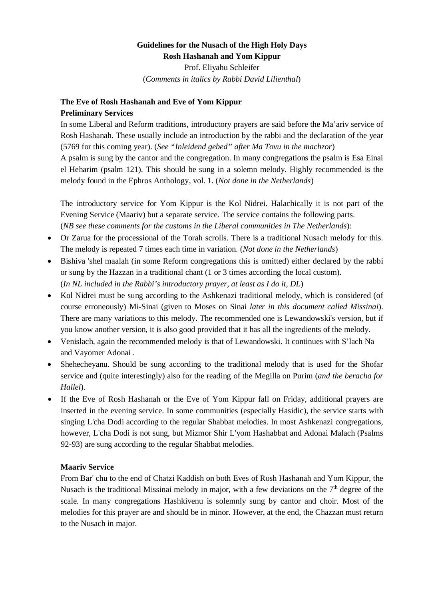### **Guidelines for the Nusach of the High Holy Days Rosh Hashanah and Yom Kippur**

Prof. Eliyahu Schleifer (*Comments in italics by Rabbi David Lilienthal*)

# **The Eve of Rosh Hashanah and Eve of Yom Kippur**

## **Preliminary Services**

In some Liberal and Reform traditions, introductory prayers are said before the Ma'ariv service of Rosh Hashanah. These usually include an introduction by the rabbi and the declaration of the year (5769 for this coming year). (*See "Inleidend gebed" after Ma Tovu in the machzor*)

A psalm is sung by the cantor and the congregation. In many congregations the psalm is Esa Einai el Heharim (psalm 121). This should be sung in a solemn melody. Highly recommended is the melody found in the Ephros Anthology, vol. 1. (*Not done in the Netherlands*)

The introductory service for Yom Kippur is the Kol Nidrei. Halachically it is not part of the Evening Service (Maariv) but a separate service. The service contains the following parts. (*NB see these comments for the customs in the Liberal communities in The Netherlands*):

- Or Zarua for the processional of the Torah scrolls. There is a traditional Nusach melody for this. The melody is repeated 7 times each time in variation. (*Not done in the Netherlands*)
- Bishiva 'shel maalah (in some Reform congregations this is omitted) either declared by the rabbi or sung by the Hazzan in a traditional chant (1 or 3 times according the local custom). (*In NL included in the Rabbi's introductory prayer, at least as I do it, DL*)
- Kol Nidrei must be sung according to the Ashkenazi traditional melody, which is considered (of course erroneously) Mi-Sinai (given to Moses on Sinai *later in this document called Missinai*). There are many variations to this melody. The recommended one is Lewandowski's version, but if you know another version, it is also good provided that it has all the ingredients of the melody.
- Venislach, again the recommended melody is that of Lewandowski. It continues with S'lach Na and Vayomer Adonai .
- Shehecheyanu. Should be sung according to the traditional melody that is used for the Shofar service and (quite interestingly) also for the reading of the Megilla on Purim (*and the beracha for Hallel*).
- If the Eve of Rosh Hashanah or the Eve of Yom Kippur fall on Friday, additional prayers are inserted in the evening service. In some communities (especially Hasidic), the service starts with singing L'cha Dodi according to the regular Shabbat melodies. In most Ashkenazi congregations, however, L'cha Dodi is not sung, but Mizmor Shir L'yom Hashabbat and Adonai Malach (Psalms 92-93) are sung according to the regular Shabbat melodies.

#### **Maariv Service**

From Bar' chu to the end of Chatzi Kaddish on both Eves of Rosh Hashanah and Yom Kippur, the Nusach is the traditional Missinai melody in major, with a few deviations on the  $7<sup>th</sup>$  degree of the scale. In many congregations Hashkivenu is solemnly sung by cantor and choir. Most of the melodies for this prayer are and should be in minor. However, at the end, the Chazzan must return to the Nusach in major.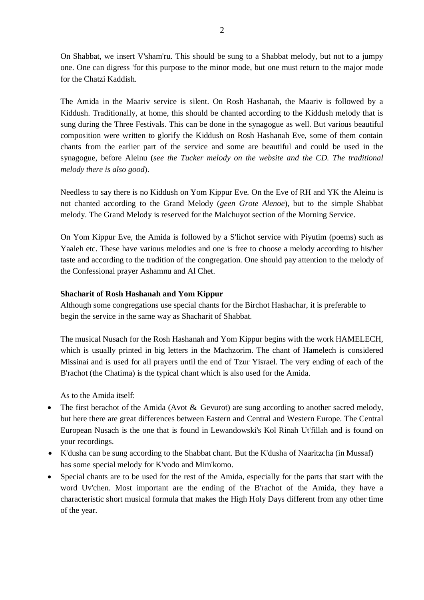On Shabbat, we insert V'sham'ru. This should be sung to a Shabbat melody, but not to a jumpy one. One can digress 'for this purpose to the minor mode, but one must return to the major mode for the Chatzi Kaddish.

The Amida in the Maariv service is silent. On Rosh Hashanah, the Maariv is followed by a Kiddush. Traditionally, at home, this should be chanted according to the Kiddush melody that is sung during the Three Festivals. This can be done in the synagogue as well. But various beautiful composition were written to glorify the Kiddush on Rosh Hashanah Eve, some of them contain chants from the earlier part of the service and some are beautiful and could be used in the synagogue, before Aleinu (*see the Tucker melody on the website and the CD. The traditional melody there is also good*).

Needless to say there is no Kiddush on Yom Kippur Eve. On the Eve of RH and YK the Aleinu is not chanted according to the Grand Melody (*geen Grote Alenoe*), but to the simple Shabbat melody. The Grand Melody is reserved for the Malchuyot section of the Morning Service.

On Yom Kippur Eve, the Amida is followed by a S'lichot service with Piyutim (poems) such as Yaaleh etc. These have various melodies and one is free to choose a melody according to his/her taste and according to the tradition of the congregation. One should pay attention to the melody of the Confessional prayer Ashamnu and Al Chet.

#### **Shacharit of Rosh Hashanah and Yom Kippur**

Although some congregations use special chants for the Birchot Hashachar, it is preferable to begin the service in the same way as Shacharit of Shabbat.

The musical Nusach for the Rosh Hashanah and Yom Kippur begins with the work HAMELECH, which is usually printed in big letters in the Machzorim. The chant of Hamelech is considered Missinai and is used for all prayers until the end of Tzur Yisrael. The very ending of each of the B'rachot (the Chatima) is the typical chant which is also used for the Amida.

As to the Amida itself:

- The first berachot of the Amida (Avot  $\&$  Gevurot) are sung according to another sacred melody, but here there are great differences between Eastern and Central and Western Europe. The Central European Nusach is the one that is found in Lewandowski's Kol Rinah Ut'fillah and is found on your recordings.
- x K'dusha can be sung according to the Shabbat chant. But the K'dusha of Naaritzcha (in Mussaf) has some special melody for K'vodo and Mim'komo.
- Special chants are to be used for the rest of the Amida, especially for the parts that start with the word Uv'chen. Most important are the ending of the B'rachot of the Amida, they have a characteristic short musical formula that makes the High Holy Days different from any other time of the year.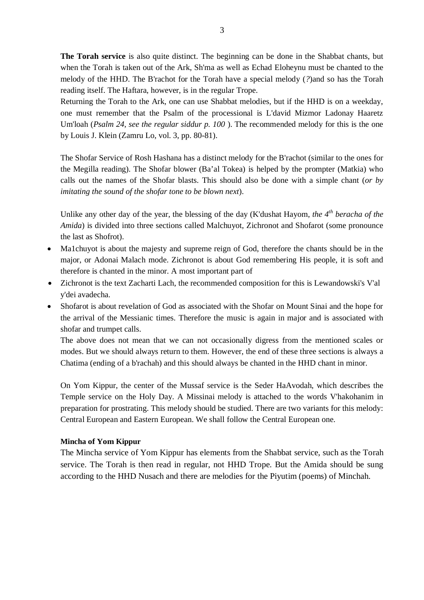**The Torah service** is also quite distinct. The beginning can be done in the Shabbat chants, but when the Torah is taken out of the Ark, Sh'ma as well as Echad Eloheynu must be chanted to the melody of the HHD. The B'rachot for the Torah have a special melody (*?*)and so has the Torah reading itself. The Haftara, however, is in the regular Trope.

Returning the Torah to the Ark, one can use Shabbat melodies, but if the HHD is on a weekday, one must remember that the Psalm of the processional is L'david Mizmor Ladonay Haaretz Um'loah (*Psalm 24, see the regular siddur p. 100* ). The recommended melody for this is the one by Louis J. Klein (Zamru Lo, vol. 3, pp. 80-81).

The Shofar Service of Rosh Hashana has a distinct melody for the B'rachot (similar to the ones for the Megilla reading). The Shofar blower (Ba'al Tokea) is helped by the prompter (Matkia) who calls out the names of the Shofar blasts. This should also be done with a simple chant (*or by imitating the sound of the shofar tone to be blown next*).

Unlike any other day of the year, the blessing of the day (K'dushat Hayom, *the 4th beracha of the Amida*) is divided into three sections called Malchuyot, Zichronot and Shofarot (some pronounce the last as Shofrot).

- Ma1chuyot is about the majesty and supreme reign of God, therefore the chants should be in the major, or Adonai Malach mode. Zichronot is about God remembering His people, it is soft and therefore is chanted in the minor. A most important part of
- Zichronot is the text Zacharti Lach, the recommended composition for this is Lewandowski's V'al y'dei avadecha.
- Shofarot is about revelation of God as associated with the Shofar on Mount Sinai and the hope for the arrival of the Messianic times. Therefore the music is again in major and is associated with shofar and trumpet calls.

The above does not mean that we can not occasionally digress from the mentioned scales or modes. But we should always return to them. However, the end of these three sections is always a Chatima (ending of a b'rachah) and this should always be chanted in the HHD chant in minor.

On Yom Kippur, the center of the Mussaf service is the Seder HaAvodah, which describes the Temple service on the Holy Day. A Missinai melody is attached to the words V'hakohanim in preparation for prostrating. This melody should be studied. There are two variants for this melody: Central European and Eastern European. We shall follow the Central European one.

#### **Mincha of Yom Kippur**

The Mincha service of Yom Kippur has elements from the Shabbat service, such as the Torah service. The Torah is then read in regular, not HHD Trope. But the Amida should be sung according to the HHD Nusach and there are melodies for the Piyutim (poems) of Minchah.